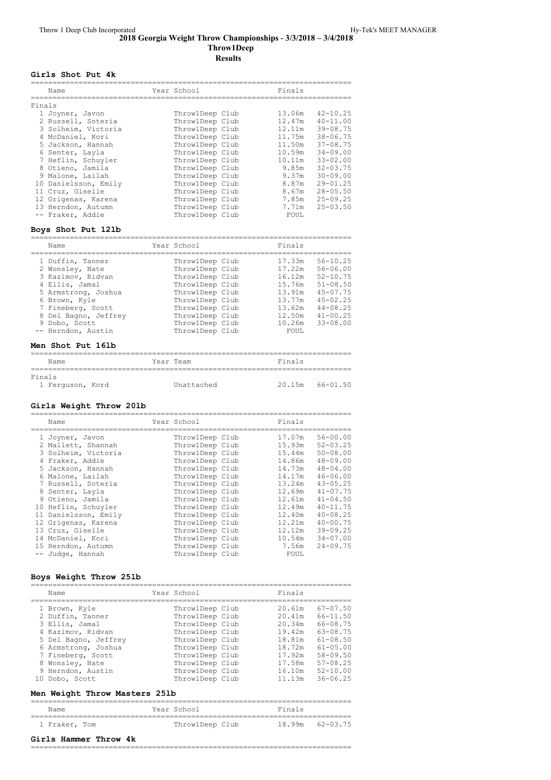#### **2018 Georgia Weight Throw Championships ‑ 3/3/2018 – 3/4/2018 Throw1Deep Results**

## **Girls Shot Put 4k**

|        | Name                 | Year School     | Finals |              |
|--------|----------------------|-----------------|--------|--------------|
| Finals |                      |                 |        |              |
|        | 1 Joyner, Javon      | ThrowlDeep Club | 13.06m | $42 - 10.25$ |
|        | 2 Russell, Soteria   | ThrowlDeep Club | 12.47m | $40 - 11.00$ |
|        | 3 Solheim, Victoria  | ThrowlDeep Club | 12.11m | $39 - 08.75$ |
|        | 4 McDaniel, Kori     | ThrowlDeep Club | 11.75m | $38 - 06.75$ |
|        | 5 Jackson, Hannah    | ThrowlDeep Club | 11.50m | $37 - 08.75$ |
|        | 6 Senter, Layla      | ThrowlDeep Club | 10.59m | $34 - 09.00$ |
|        | 7 Heflin, Schuyler   | ThrowlDeep Club | 10.11m | $33 - 02.00$ |
|        | 8 Otieno, Jamila     | ThrowlDeep Club | 9.85m  | $32 - 03.75$ |
|        | 9 Malone, Lailah     | ThrowlDeep Club | 9.37m  | $30 - 09.00$ |
|        | 10 Danielsson, Emily | ThrowlDeep Club | 8.87m  | $29 - 01.25$ |
|        | 11 Cruz, Giselle     | ThrowlDeep Club | 8.67m  | $28 - 05.50$ |
|        | 12 Grigenas, Karena  | ThrowlDeep Club | 7.85m  | $25 - 09.25$ |
|        | 13 Herndon, Autumn   | ThrowlDeep Club | 7.71m  | $25 - 03.50$ |
|        | -- Fraker, Addie     | ThrowlDeep Club | FOUL   |              |

## **Boys Shot Put 12lb**

| Name                                                                                                                                                                             | Year School                                                                                                                                                             | Finals                                                                                 |                                                                                                                                              |
|----------------------------------------------------------------------------------------------------------------------------------------------------------------------------------|-------------------------------------------------------------------------------------------------------------------------------------------------------------------------|----------------------------------------------------------------------------------------|----------------------------------------------------------------------------------------------------------------------------------------------|
| 1 Duffin, Tanner<br>2 Wonsley, Nate<br>3 Kazimov, Ridvan<br>4 Ellis, Jamal<br>5 Armstrong, Joshua<br>6 Brown, Kyle<br>7 Fineberg, Scott<br>8 Del Bagno, Jeffrey<br>9 Dobo, Scott | ThrowlDeep Club<br>ThrowlDeep Club<br>ThrowlDeep Club<br>ThrowlDeep Club<br>ThrowlDeep Club<br>ThrowlDeep Club<br>ThrowlDeep Club<br>ThrowlDeep Club<br>ThrowlDeep Club | 17.33m<br>17.22m<br>16.12m<br>15.76m<br>13.91m<br>13.77m<br>13.62m<br>12.50m<br>10.26m | $56 - 10.25$<br>$56 - 06.00$<br>$52 - 10.75$<br>$51 - 08.50$<br>$45 - 07.75$<br>$45 - 02.25$<br>$44 - 08.25$<br>$41 - 00.25$<br>$33 - 08.00$ |
| -- Herndon, Austin                                                                                                                                                               | ThrowlDeep Club                                                                                                                                                         | FOUL.                                                                                  |                                                                                                                                              |

#### **Men Shot Put 16lb**

| Name                       |  |  | Year Team  | Finals |          |  |  |
|----------------------------|--|--|------------|--------|----------|--|--|
| Finals<br>1 Ferquson, Kord |  |  | Unattached | 20.15m | 66-01.50 |  |  |

#### **Girls Weight Throw 20lb**

| Name                 | Year School     | Finals |              |
|----------------------|-----------------|--------|--------------|
| 1 Joyner, Javon      | Throw1Deep Club | 17.07m | $56 - 00.00$ |
| 2 Mallett, Shannah   | ThrowlDeep Club | 15.93m | $52 - 03.25$ |
| 3 Solheim, Victoria  | ThrowlDeep Club | 15.44m | $50 - 08.00$ |
| 4 Fraker, Addie      | ThrowlDeep Club | 14.86m | $48 - 09.00$ |
| 5 Jackson, Hannah    | ThrowlDeep Club | 14.73m | $48 - 04.00$ |
| 6 Malone, Lailah     | ThrowlDeep Club | 14.17m | $46 - 06.00$ |
| 7 Russell, Soteria   | ThrowlDeep Club | 13.24m | $43 - 05.25$ |
| 8 Senter, Layla      | ThrowlDeep Club | 12.69m | $41 - 07.75$ |
| 9 Otieno, Jamila     | ThrowlDeep Club | 12.61m | $41 - 04.50$ |
| 10 Heflin, Schuyler  | ThrowlDeep Club | 12.49m | $40 - 11.75$ |
| 11 Danielsson, Emily | ThrowlDeep Club | 12.40m | $40 - 08.25$ |
| 12 Grigenas, Karena  | ThrowlDeep Club | 12.21m | $40 - 00.75$ |
| 13 Cruz, Giselle     | ThrowlDeep Club | 12.12m | $39 - 09.25$ |
| 14 McDaniel, Kori    | ThrowlDeep Club | 10.54m | $34 - 07.00$ |
| 15 Herndon, Autumn   | ThrowlDeep Club | 7.56m  | $24 - 09.75$ |
| -- Judge, Hannah     | ThrowlDeep Club | FOUL   |              |

### **Boys Weight Throw 25lb**

|                                                                                                                                                                                                                                                                                                                                                                                                                                                                                                          | $67 - 07.50$                                                                                                                                 |
|----------------------------------------------------------------------------------------------------------------------------------------------------------------------------------------------------------------------------------------------------------------------------------------------------------------------------------------------------------------------------------------------------------------------------------------------------------------------------------------------------------|----------------------------------------------------------------------------------------------------------------------------------------------|
| ThrowlDeep Club<br>20.61m<br>1 Brown, Kyle<br>ThrowlDeep Club<br>2 Duffin, Tanner<br>20.41m<br>ThrowlDeep Club<br>3 Ellis, Jamal<br>20.34m<br>4 Kazimov, Ridvan<br>ThrowlDeep Club<br>19.42m<br>ThrowlDeep Club<br>18.81m<br>5 Del Bagno, Jeffrey<br>ThrowlDeep Club<br>6 Armstrong, Joshua<br>18.72m<br>7 Fineberg, Scott<br>ThrowlDeep Club<br>17.92m<br>8 Wonsley, Nate<br>ThrowlDeep Club<br>17.58m<br>ThrowlDeep Club<br>9 Herndon, Austin<br>16.10m<br>ThrowlDeep Club<br>11.13m<br>10 Dobo, Scott | $66 - 11.50$<br>$66 - 08.75$<br>$63 - 08.75$<br>$61 - 08.50$<br>$61 - 05.00$<br>$58 - 09.50$<br>$57 - 08.25$<br>$52 - 10.00$<br>$36 - 06.25$ |

## **Men Weight Throw Masters 25lb**

| Name          |  | Year School     | Finals              |  |
|---------------|--|-----------------|---------------------|--|
| 1 Fraker, Tom |  | ThrowlDeep Club | $18.99m$ $62-03.75$ |  |

## **Girls Hammer Throw 4k**

==========================================================================